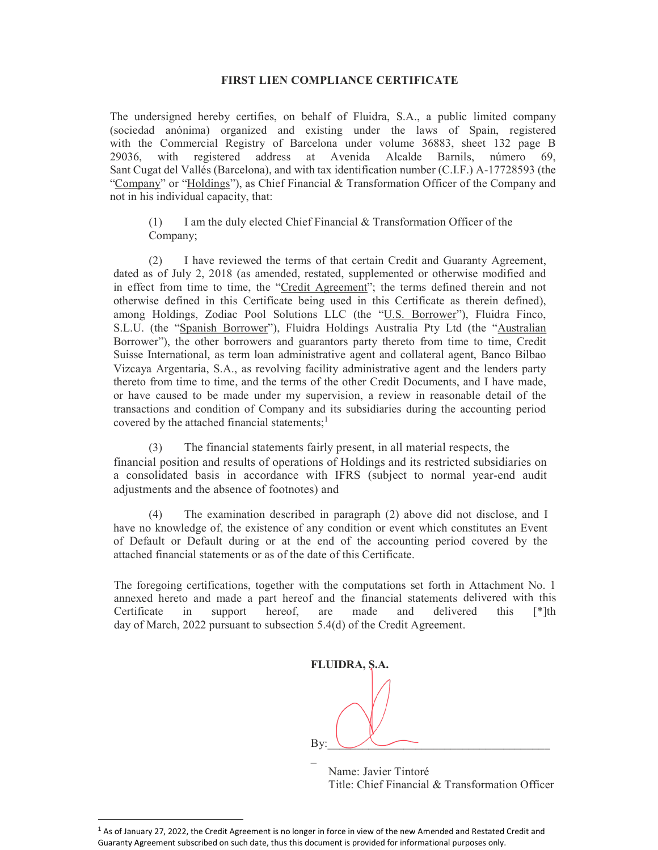## FIRST LIEN COMPLIANCE CERTIFICATE

The undersigned hereby certifies, on behalf of Fluidra, S.A., a public limited company (sociedad anónima) organized and existing under the laws of Spain, registered with the Commercial Registry of Barcelona under volume 36883, sheet 132 page B 29036, with registered address at Avenida Alcalde Barnils, número 69, Sant Cugat del Vallés (Barcelona), and with tax identification number (C.I.F.) A-17728593 (the "Company" or "Holdings"), as Chief Financial & Transformation Officer of the Company and not in his individual capacity, that:

(1) I am the duly elected Chief Financial  $&$  Transformation Officer of the Company;

(2) I have reviewed the terms of that certain Credit and Guaranty Agreement, dated as of July 2, 2018 (as amended, restated, supplemented or otherwise modified and in effect from time to time, the "Credit Agreement"; the terms defined therein and not otherwise defined in this Certificate being used in this Certificate as therein defined), among Holdings, Zodiac Pool Solutions LLC (the "U.S. Borrower"), Fluidra Finco, S.L.U. (the "Spanish Borrower"), Fluidra Holdings Australia Pty Ltd (the "Australian Borrower"), the other borrowers and guarantors party thereto from time to time, Credit Suisse International, as term loan administrative agent and collateral agent, Banco Bilbao Vizcaya Argentaria, S.A., as revolving facility administrative agent and the lenders party thereto from time to time, and the terms of the other Credit Documents, and I have made, or have caused to be made under my supervision, a review in reasonable detail of the transactions and condition of Company and its subsidiaries during the accounting period covered by the attached financial statements; $<sup>1</sup>$ </sup>

(3) The financial statements fairly present, in all material respects, the financial position and results of operations of Holdings and its restricted subsidiaries on a consolidated basis in accordance with IFRS (subject to normal year-end audit adjustments and the absence of footnotes) and

(4) The examination described in paragraph (2) above did not disclose, and I have no knowledge of, the existence of any condition or event which constitutes an Event of Default or Default during or at the end of the accounting period covered by the attached financial statements or as of the date of this Certificate.

The foregoing certifications, together with the computations set forth in Attachment No. 1 annexed hereto and made a part hereof and the financial statements delivered with this Certificate in support hereof, are made and delivered this [\*]th day of March, 2022 pursuant to subsection 5.4(d) of the Credit Agreement.

FLUIDRA, S.A.

By:  $\bigcup$ 

 Name: Javier Tintoré Title: Chief Financial & Transformation Officer

-

 $\mathcal{L}(\mathcal{L})$ 

 $1$  As of January 27, 2022, the Credit Agreement is no longer in force in view of the new Amended and Restated Credit and Guaranty Agreement subscribed on such date, thus this document is provided for informational purposes only.